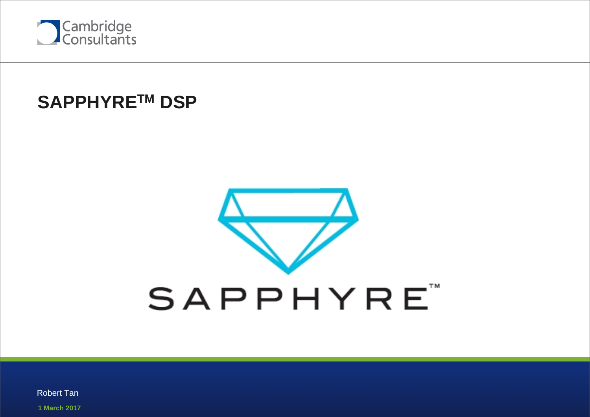

# **SAPPHYRETM DSP**

# **SAPPHYRE**

**1 March 2017** Robert Tan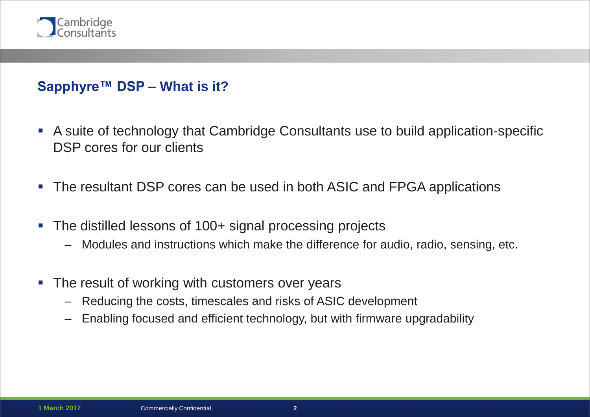

#### **Sapphyre™ DSP – What is it?**

- A suite of technology that Cambridge Consultants use to build application-specific DSP cores for our clients
- The resultant DSP cores can be used in both ASIC and FPGA applications
- The distilled lessons of 100+ signal processing projects
	- Modules and instructions which make the difference for audio, radio, sensing, etc.
- The result of working with customers over years
	- Reducing the costs, timescales and risks of ASIC development
	- Enabling focused and efficient technology, but with firmware upgradability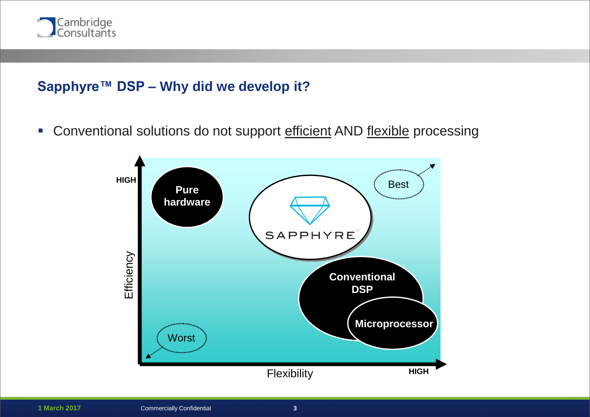

#### **Sapphyre™ DSP – Why did we develop it?**

**-** Conventional solutions do not support efficient AND flexible processing

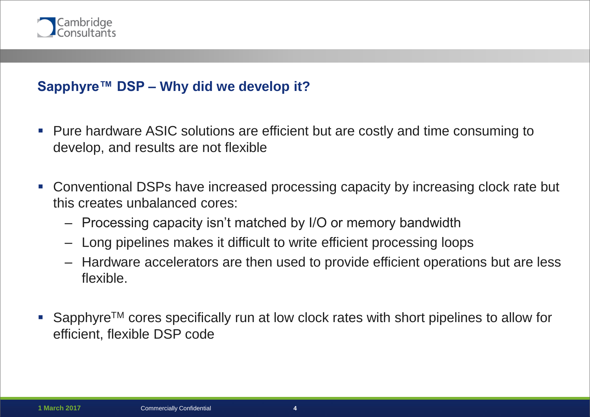

#### **Sapphyre™ DSP – Why did we develop it?**

- **Pure hardware ASIC solutions are efficient but are costly and time consuming to** develop, and results are not flexible
- Conventional DSPs have increased processing capacity by increasing clock rate but this creates unbalanced cores:
	- Processing capacity isn't matched by I/O or memory bandwidth
	- Long pipelines makes it difficult to write efficient processing loops
	- Hardware accelerators are then used to provide efficient operations but are less flexible.
- Sapphyre<sup>TM</sup> cores specifically run at low clock rates with short pipelines to allow for efficient, flexible DSP code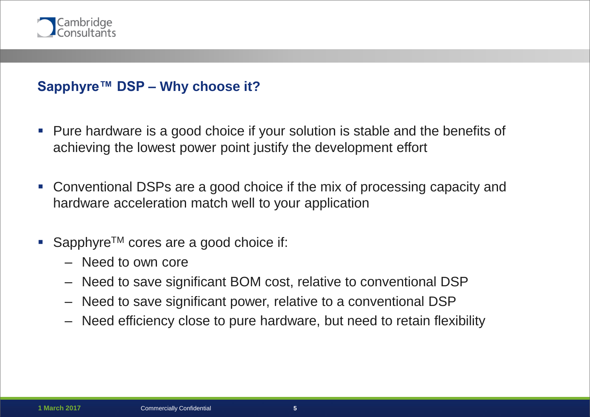

#### **Sapphyre™ DSP – Why choose it?**

- Pure hardware is a good choice if your solution is stable and the benefits of achieving the lowest power point justify the development effort
- Conventional DSPs are a good choice if the mix of processing capacity and hardware acceleration match well to your application
- Sapphyre<sup>TM</sup> cores are a good choice if:
	- Need to own core
	- Need to save significant BOM cost, relative to conventional DSP
	- Need to save significant power, relative to a conventional DSP
	- Need efficiency close to pure hardware, but need to retain flexibility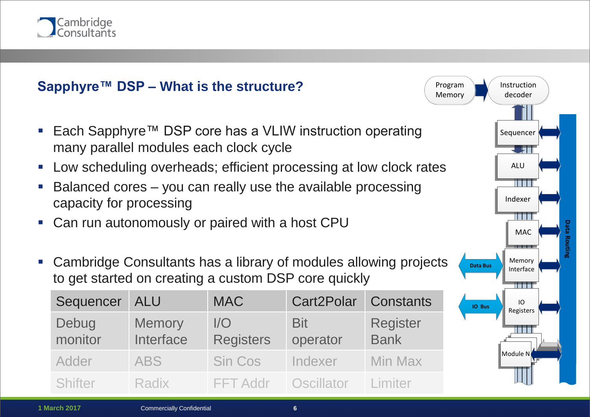

## **Sapphyre™ DSP – What is the structure?**

- Each Sapphyre™ DSP core has a VLIW instruction operating many parallel modules each clock cycle
- Low scheduling overheads; efficient processing at low clock rates
- Balanced cores you can really use the available processing capacity for processing
- Can run autonomously or paired with a host CPU
- Cambridge Consultants has a library of modules allowing projects to get started on creating a custom DSP core quickly

| Sequencer        | ALU                        | <b>MAC</b>              | Cart2Polar Constants      |                                |
|------------------|----------------------------|-------------------------|---------------------------|--------------------------------|
| Debug<br>monitor | <b>Memory</b><br>Interface | 1/O<br><b>Registers</b> | <b>Bit</b><br>operator    | <b>Register</b><br><b>Bank</b> |
| Adder            | <b>ABS</b>                 | <b>Sin Cos</b>          | Indexer                   | <b>Min Max</b>                 |
| Shifter          | Radix                      | <b>FFT Addr</b>         | <b>Oscillator</b> Limiter |                                |

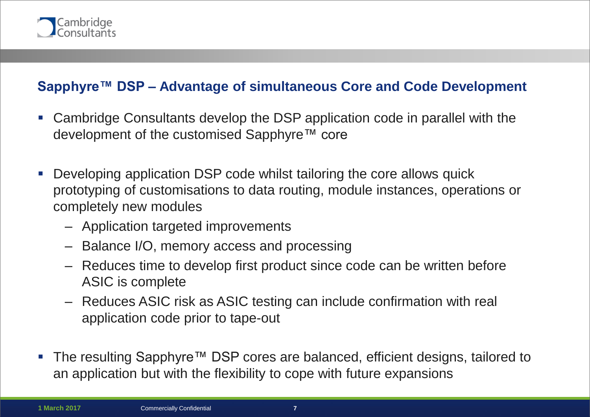

#### **Sapphyre™ DSP – Advantage of simultaneous Core and Code Development**

- Cambridge Consultants develop the DSP application code in parallel with the development of the customised Sapphyre™ core
- Developing application DSP code whilst tailoring the core allows quick prototyping of customisations to data routing, module instances, operations or completely new modules
	- Application targeted improvements
	- Balance I/O, memory access and processing
	- Reduces time to develop first product since code can be written before ASIC is complete
	- Reduces ASIC risk as ASIC testing can include confirmation with real application code prior to tape-out
- The resulting Sapphyre™ DSP cores are balanced, efficient designs, tailored to an application but with the flexibility to cope with future expansions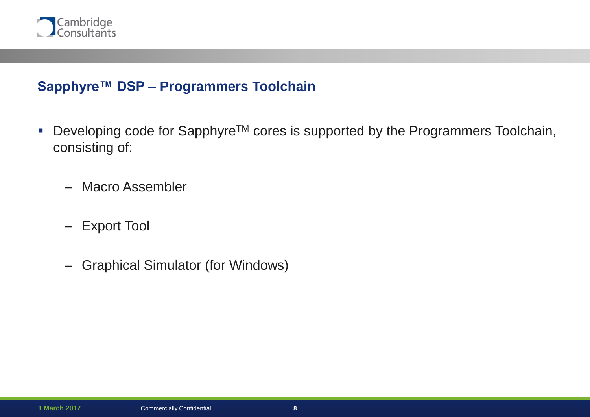

#### **Sapphyre™ DSP – Programmers Toolchain**

- Developing code for Sapphyre<sup>™</sup> cores is supported by the Programmers Toolchain, consisting of:
	- Macro Assembler
	- Export Tool
	- Graphical Simulator (for Windows)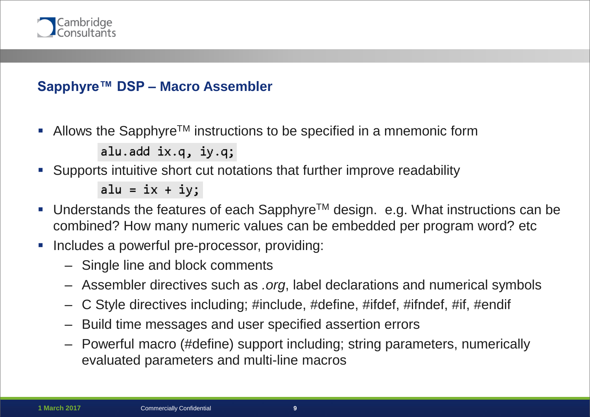

#### **Sapphyre™ DSP – Macro Assembler**

Allows the Sapphyre<sup>TM</sup> instructions to be specified in a mnemonic form

```
alu.add ix.q, iy.q;
```
Supports intuitive short cut notations that further improve readability

alu =  $ix + iy;$ 

- Understands the features of each Sapphyre<sup>TM</sup> design. e.g. What instructions can be combined? How many numeric values can be embedded per program word? etc
- Includes a powerful pre-processor, providing:
	- Single line and block comments
	- Assembler directives such as *.org*, label declarations and numerical symbols
	- C Style directives including; #include, #define, #ifdef, #ifndef, #if, #endif
	- Build time messages and user specified assertion errors
	- Powerful macro (#define) support including; string parameters, numerically evaluated parameters and multi-line macros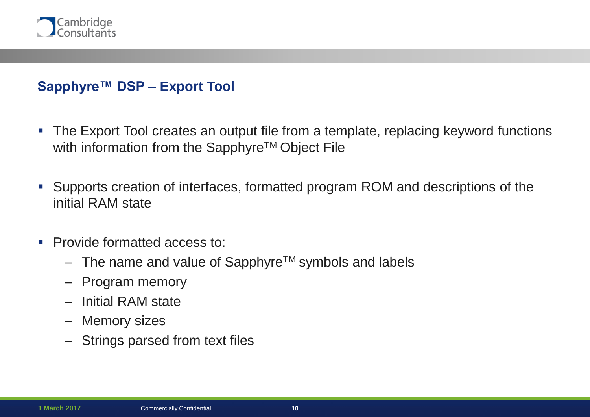

#### **Sapphyre™ DSP – Export Tool**

- The Export Tool creates an output file from a template, replacing keyword functions with information from the Sapphyre™ Object File
- Supports creation of interfaces, formatted program ROM and descriptions of the initial RAM state
- **Provide formatted access to:** 
	- $-$  The name and value of Sapphyre<sup>TM</sup> symbols and labels
	- Program memory
	- Initial RAM state
	- Memory sizes
	- Strings parsed from text files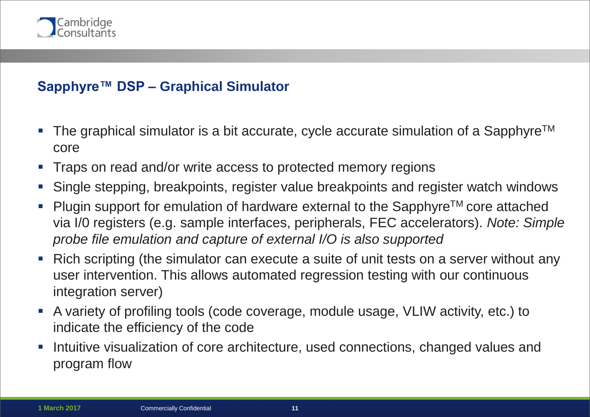

#### **Sapphyre™ DSP – Graphical Simulator**

- The graphical simulator is a bit accurate, cycle accurate simulation of a Sapphyre<sup>TM</sup> core
- Traps on read and/or write access to protected memory regions
- Single stepping, breakpoints, register value breakpoints and register watch windows
- Plugin support for emulation of hardware external to the Sapphyre™ core attached via I/0 registers (e.g. sample interfaces, peripherals, FEC accelerators). *Note: Simple probe file emulation and capture of external I/O is also supported*
- Rich scripting (the simulator can execute a suite of unit tests on a server without any user intervention. This allows automated regression testing with our continuous integration server)
- A variety of profiling tools (code coverage, module usage, VLIW activity, etc.) to indicate the efficiency of the code
- Intuitive visualization of core architecture, used connections, changed values and program flow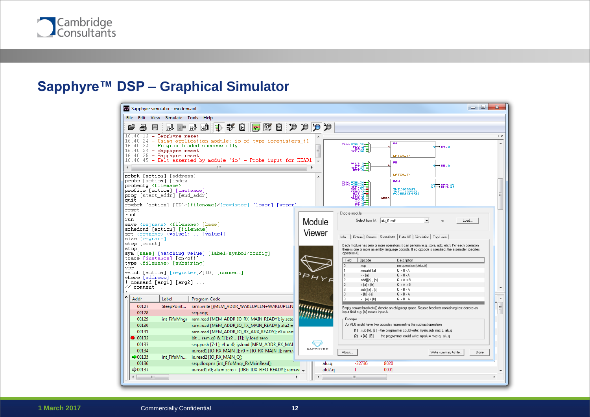

# **Sapphyre™ DSP – Graphical Simulator**

| $\Box$<br>Sapphyre simulator - modem.aof                                                                                                                       |                                                                                                                                                               |                       |                                                                                                                                                                |                                                                                                                                                     |      |  |  |  |  |
|----------------------------------------------------------------------------------------------------------------------------------------------------------------|---------------------------------------------------------------------------------------------------------------------------------------------------------------|-----------------------|----------------------------------------------------------------------------------------------------------------------------------------------------------------|-----------------------------------------------------------------------------------------------------------------------------------------------------|------|--|--|--|--|
| Edit View Simulate Tools Help<br><b>File</b>                                                                                                                   |                                                                                                                                                               |                       |                                                                                                                                                                |                                                                                                                                                     |      |  |  |  |  |
| 剛 段<br>BU.                                                                                                                                                     |                                                                                                                                                               |                       |                                                                                                                                                                |                                                                                                                                                     |      |  |  |  |  |
| $16.40.12$ - Sapphyre reset<br>16.40.24<br>$16.40.24$ - Program loaded successfully<br>16.40.24 - Sapphyre reset<br>$16.40.25$ - Sapphyre reset                | - Using application module: io of type ioregisters t1<br>16.40.45 - Halt asserted by module 'io' - Probe input for READ1                                      | $\equiv$              | R <sub>4</sub><br>IMM.FIELD                                                                                                                                    | $\rightarrow$ R4.0<br>LATCH_T4                                                                                                                      |      |  |  |  |  |
| $\leftarrow$                                                                                                                                                   | m.                                                                                                                                                            |                       | <b>RS</b>                                                                                                                                                      | $\rightarrow$ RS .0                                                                                                                                 |      |  |  |  |  |
| pcbrk [action] [address]<br>probe [action] [index]<br>probecfq <filename><br/>profile [action] [instance]<br/>prog [start addr] [end addr]<br/>quit</filename> | regbrk [action] [ID]/[filename]/[reqister] [lower] [upper]                                                                                                    |                       | RAM<br><b>ARANA 2001 - 1998</b><br>PRODUCTION<br>PRODUCTION<br>PRODUCTION<br>PRODUCTION<br>PRODUCTION<br>PRODUCTION<br>PRODUCTION<br>PRODUCTION<br><b>ADDR</b> | LATCH_T1<br>$\mathbb{R}^9 \rightarrow \mathbb{R}^9$ $\mathbb{R}^9$<br>INI [16384]<br>INIT [16384]<br>ANGESS [8192                                   |      |  |  |  |  |
| reset<br>root<br>lrun.<br>save <regname> <filename> [base]</filename></regname>                                                                                |                                                                                                                                                               | Module                | Choose module<br>Select from list alu t1.mdf                                                                                                                   | Load                                                                                                                                                |      |  |  |  |  |
| schedcmd [action] [filename]<br>set <regname> <value1>  [value4]<br/>size [regname]<br/>step [count]</value1></regname>                                        |                                                                                                                                                               | Viewer                | Picture   Params Dperations   Data I/O   Simulation   Top Level  <br>Info                                                                                      | Each module has zero or more operations it can perform (e.g. store, add, etc.). For each operation                                                  |      |  |  |  |  |
| stop<br>sym [name] [matching value] [label/symbol/config]<br>trace [instance] [on/off]<br>type <filename> [substring]</filename>                               |                                                                                                                                                               |                       | operation 0.<br>Field<br><b>Opcode</b><br>.nop                                                                                                                 | there is one or more assembly language opcode. If no opcode is specified, the assembler specifies<br>Description<br>no operation [default]          |      |  |  |  |  |
| ver<br>watch [action] [reqister]/[ID] [comment]<br>where [address]<br>$!$ command [arg1] [arg2] $\ldots$                                                       |                                                                                                                                                               |                       | .negate[][a]<br>$= -[a]$<br>.add[][a] , [b]<br>12                                                                                                              | $\mathbf{0} = \mathbf{0} \cdot \mathbf{A}$<br>$Q = 0 - A$<br>$Q = A + B$<br>$Q = A + B$                                                             |      |  |  |  |  |
| // comment<br>×                                                                                                                                                |                                                                                                                                                               |                       | $=[a] + [b]$<br>l٦<br>.sub[[[a], [b]<br>lз<br>$=[b] \cdot [a]$                                                                                                 | $Q = B - A$<br>$Q = B - A$                                                                                                                          |      |  |  |  |  |
| Addr<br>Label<br>00127                                                                                                                                         | Program Code                                                                                                                                                  |                       | $= -[a] + [b]$                                                                                                                                                 | $Q = B - A$                                                                                                                                         | ۸    |  |  |  |  |
| SleepPoint<br>00128                                                                                                                                            | ram.write [(MEM_ADDR_WAKEUPLEN+WAKEUPLEN<br>seq.nop;                                                                                                          |                       | input field e.g. [A] means input A.                                                                                                                            | Empty square brackets [] denote an obligatory space. Square brackets containing text denote an                                                      | E    |  |  |  |  |
| 00129<br>00130                                                                                                                                                 | int_FifoMngr ram.read [MEM_ADDR_IO_RX_MAIN_READY]; iy.seta<br>ram.read [MEM_ADDR_IO_TX_MAIN_READY]; alu2 =                                                    |                       | Example<br>An ALU might have two opcodes representing the subtract operation:                                                                                  |                                                                                                                                                     |      |  |  |  |  |
| 00131                                                                                                                                                          | ram.read [MEM_ADDR_IO_RX_AUX_READY]; r0 = ran                                                                                                                 |                       |                                                                                                                                                                | [1] .sub [A], [B] - the programmer could write: myalu.sub mac.q, alu.q<br>$[2] = [4] \cdot [B]$ - the programmer could write: myalu = mac.q - alu.q |      |  |  |  |  |
| $\bullet$ 00132<br>00133<br>00134                                                                                                                              | bit = ram.q0 & $[1]$ ; r2 = $[1]$ ; iy.load zero;<br>seq.push [7-1]; r4 = r0; iy.load [MEM_ADDR_RX_MAI<br>io.read1 [IO_RX_MAIN_I]; r0 = [IO_RX_MAIN_I]; ram.v | SAPPHYRE <sup>®</sup> | <b>About</b>                                                                                                                                                   | Write summary to file.                                                                                                                              | Done |  |  |  |  |
| $-00135$<br>int FifoMn<br>00136                                                                                                                                | io.read2 [IO RX MAIN Q]:<br>seq.dloopnz [int_FifoMngr_RxMainRead];                                                                                            | alu.g                 | $-32736$<br>8020                                                                                                                                               |                                                                                                                                                     |      |  |  |  |  |
| $\Rightarrow 00137$<br>m                                                                                                                                       | io.read1 r0; alu = zero + [DBG IDX FIFO READY]; ram.wi -                                                                                                      | alu2.g                | 0001<br>$\mathbf{1}$<br>m.                                                                                                                                     |                                                                                                                                                     |      |  |  |  |  |
|                                                                                                                                                                |                                                                                                                                                               |                       |                                                                                                                                                                |                                                                                                                                                     |      |  |  |  |  |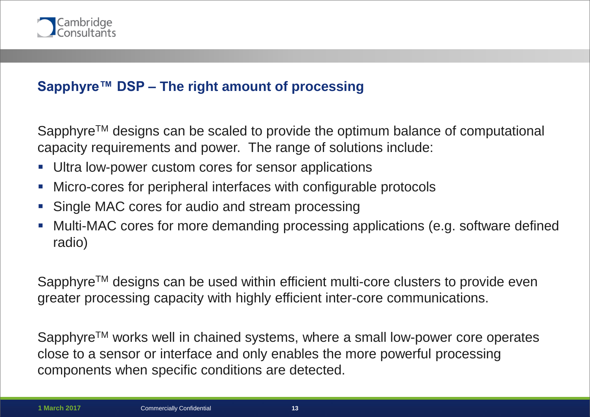

## **Sapphyre™ DSP – The right amount of processing**

Sapphyre™ designs can be scaled to provide the optimum balance of computational capacity requirements and power. The range of solutions include:

- Ultra low-power custom cores for sensor applications
- Micro-cores for peripheral interfaces with configurable protocols
- Single MAC cores for audio and stream processing
- Multi-MAC cores for more demanding processing applications (e.g. software defined radio)

Sapphyre™ designs can be used within efficient multi-core clusters to provide even greater processing capacity with highly efficient inter-core communications.

Sapphyre™ works well in chained systems, where a small low-power core operates close to a sensor or interface and only enables the more powerful processing components when specific conditions are detected.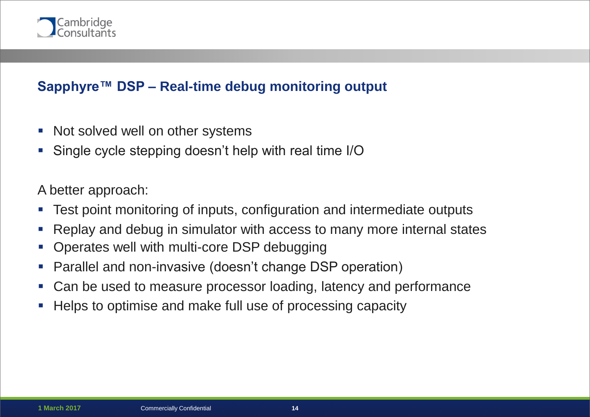

#### **Sapphyre™ DSP – Real-time debug monitoring output**

- Not solved well on other systems
- Single cycle stepping doesn't help with real time I/O

#### A better approach:

- Test point monitoring of inputs, configuration and intermediate outputs
- Replay and debug in simulator with access to many more internal states
- Operates well with multi-core DSP debugging
- Parallel and non-invasive (doesn't change DSP operation)
- Can be used to measure processor loading, latency and performance
- Helps to optimise and make full use of processing capacity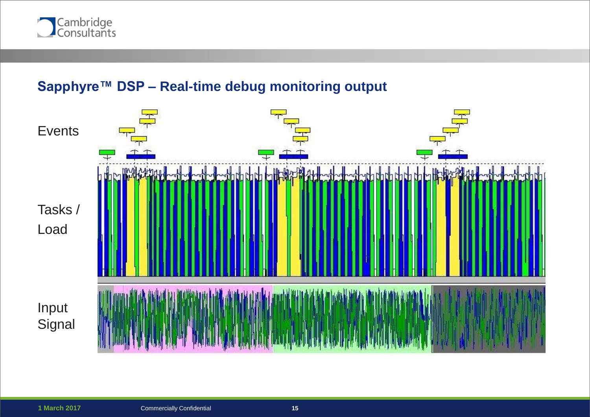

#### **Sapphyre™ DSP – Real-time debug monitoring output**

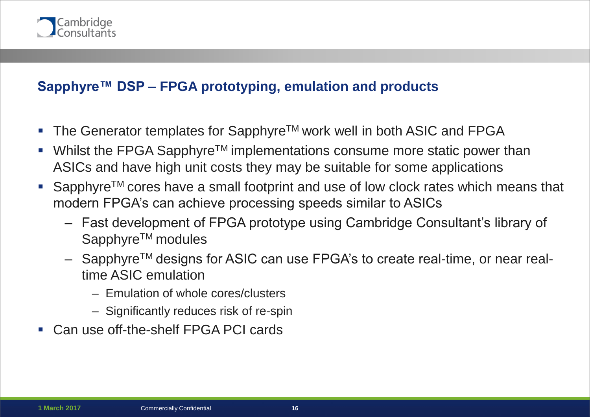

### **Sapphyre™ DSP – FPGA prototyping, emulation and products**

- The Generator templates for Sapphyre<sup>TM</sup> work well in both ASIC and FPGA
- Whilst the FPGA Sapphyre™ implementations consume more static power than ASICs and have high unit costs they may be suitable for some applications
- Sapphyre<sup>™</sup> cores have a small footprint and use of low clock rates which means that modern FPGA's can achieve processing speeds similar to ASICs
	- Fast development of FPGA prototype using Cambridge Consultant's library of Sapphyre<sup>™</sup> modules
	- SapphyreTM designs for ASIC can use FPGA's to create real-time, or near realtime ASIC emulation
		- Emulation of whole cores/clusters
		- Significantly reduces risk of re-spin
- Can use off-the-shelf FPGA PCI cards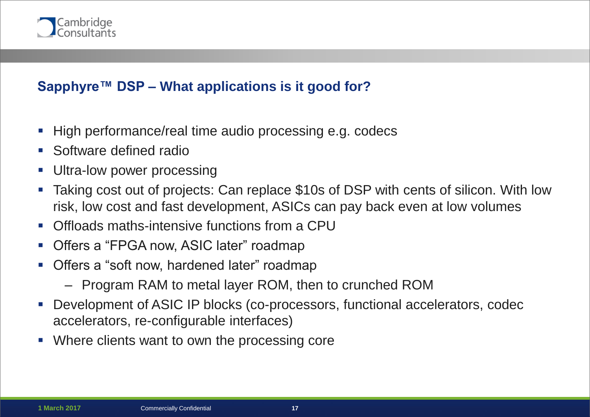

#### **Sapphyre™ DSP – What applications is it good for?**

- High performance/real time audio processing e.g. codecs
- Software defined radio
- Ultra-low power processing
- Taking cost out of projects: Can replace \$10s of DSP with cents of silicon. With low risk, low cost and fast development, ASICs can pay back even at low volumes
- Offloads maths-intensive functions from a CPU
- Offers a "FPGA now, ASIC later" roadmap
- Offers a "soft now, hardened later" roadmap
	- Program RAM to metal layer ROM, then to crunched ROM
- Development of ASIC IP blocks (co-processors, functional accelerators, codec accelerators, re-configurable interfaces)
- Where clients want to own the processing core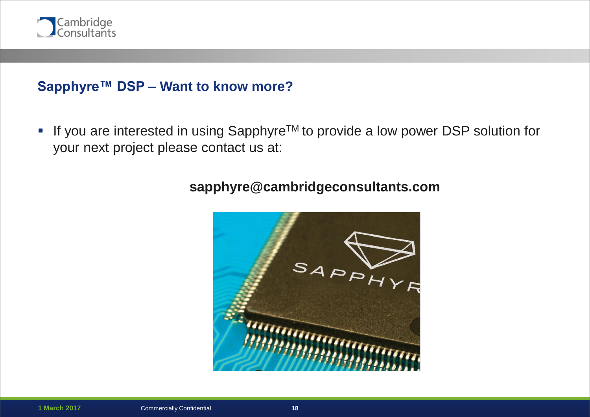

#### **Sapphyre™ DSP – Want to know more?**

■ If you are interested in using Sapphyre<sup>™</sup> to provide a low power DSP solution for your next project please contact us at:



#### **sapphyre@cambridgeconsultants.com**